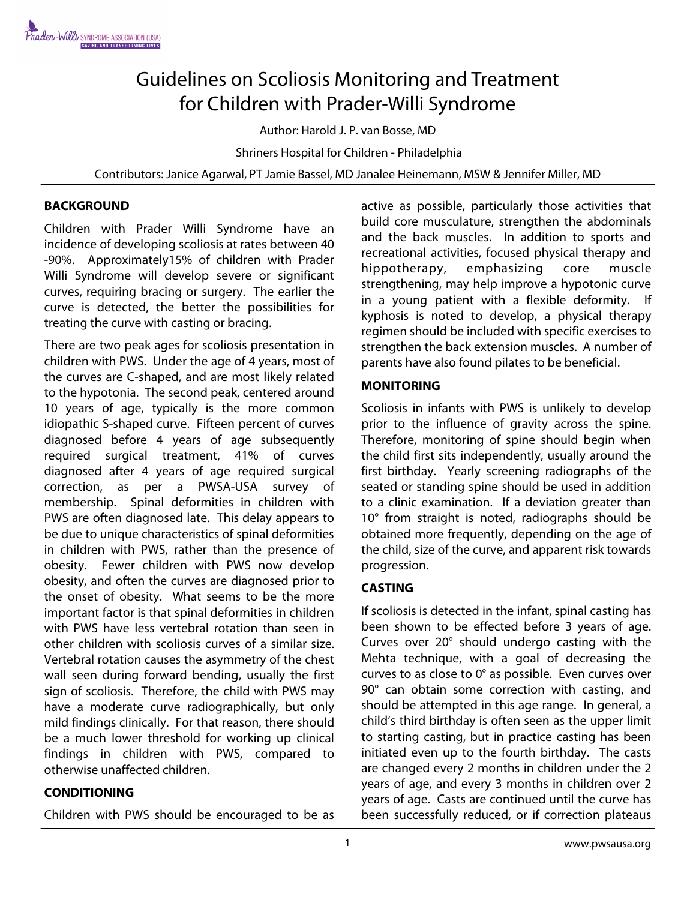# Guidelines on Scoliosis Monitoring and Treatment for Children with Prader-Willi Syndrome

Author: Harold J. P. van Bosse, MD

Shriners Hospital for Children - Philadelphia

Contributors: Janice Agarwal, PT Jamie Bassel, MD Janalee Heinemann, MSW & Jennifer Miller, MD

#### **BACKGROUND**

Children with Prader Willi Syndrome have an incidence of developing scoliosis at rates between 40 -90%. Approximately15% of children with Prader Willi Syndrome will develop severe or significant curves, requiring bracing or surgery. The earlier the curve is detected, the better the possibilities for treating the curve with casting or bracing.

There are two peak ages for scoliosis presentation in children with PWS. Under the age of 4 years, most of the curves are C-shaped, and are most likely related to the hypotonia. The second peak, centered around 10 years of age, typically is the more common idiopathic S-shaped curve. Fifteen percent of curves diagnosed before 4 years of age subsequently required surgical treatment, 41% of curves diagnosed after 4 years of age required surgical correction, as per a PWSA-USA survey of membership. Spinal deformities in children with PWS are often diagnosed late. This delay appears to be due to unique characteristics of spinal deformities in children with PWS, rather than the presence of obesity. Fewer children with PWS now develop obesity, and often the curves are diagnosed prior to the onset of obesity. What seems to be the more important factor is that spinal deformities in children with PWS have less vertebral rotation than seen in other children with scoliosis curves of a similar size. Vertebral rotation causes the asymmetry of the chest wall seen during forward bending, usually the first sign of scoliosis. Therefore, the child with PWS may have a moderate curve radiographically, but only mild findings clinically. For that reason, there should be a much lower threshold for working up clinical findings in children with PWS, compared to otherwise unaffected children.

#### **CONDITIONING**

Children with PWS should be encouraged to be as

active as possible, particularly those activities that build core musculature, strengthen the abdominals and the back muscles. In addition to sports and recreational activities, focused physical therapy and hippotherapy, emphasizing core muscle strengthening, may help improve a hypotonic curve in a young patient with a flexible deformity. If kyphosis is noted to develop, a physical therapy regimen should be included with specific exercises to strengthen the back extension muscles. A number of parents have also found pilates to be beneficial.

#### **MONITORING**

Scoliosis in infants with PWS is unlikely to develop prior to the influence of gravity across the spine. Therefore, monitoring of spine should begin when the child first sits independently, usually around the first birthday. Yearly screening radiographs of the seated or standing spine should be used in addition to a clinic examination. If a deviation greater than 10° from straight is noted, radiographs should be obtained more frequently, depending on the age of the child, size of the curve, and apparent risk towards progression.

#### **CASTING**

If scoliosis is detected in the infant, spinal casting has been shown to be effected before 3 years of age. Curves over 20° should undergo casting with the Mehta technique, with a goal of decreasing the curves to as close to 0° as possible. Even curves over 90° can obtain some correction with casting, and should be attempted in this age range. In general, a child's third birthday is often seen as the upper limit to starting casting, but in practice casting has been initiated even up to the fourth birthday. The casts are changed every 2 months in children under the 2 years of age, and every 3 months in children over 2 years of age. Casts are continued until the curve has been successfully reduced, or if correction plateaus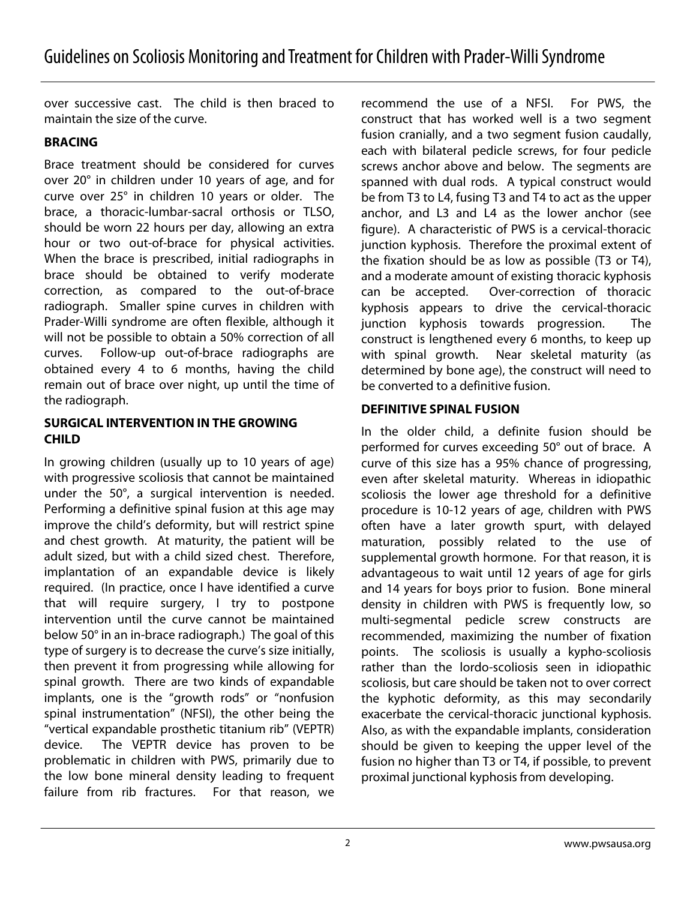over successive cast. The child is then braced to maintain the size of the curve.

## **BRACING**

Brace treatment should be considered for curves over 20° in children under 10 years of age, and for curve over 25° in children 10 years or older. The brace, a thoracic-lumbar-sacral orthosis or TLSO, should be worn 22 hours per day, allowing an extra hour or two out-of-brace for physical activities. When the brace is prescribed, initial radiographs in brace should be obtained to verify moderate correction, as compared to the out-of-brace radiograph. Smaller spine curves in children with Prader-Willi syndrome are often flexible, although it will not be possible to obtain a 50% correction of all curves. Follow-up out-of-brace radiographs are obtained every 4 to 6 months, having the child remain out of brace over night, up until the time of the radiograph.

#### **SURGICAL INTERVENTION IN THE GROWING CHILD**

In growing children (usually up to 10 years of age) with progressive scoliosis that cannot be maintained under the 50°, a surgical intervention is needed. Performing a definitive spinal fusion at this age may improve the child's deformity, but will restrict spine and chest growth. At maturity, the patient will be adult sized, but with a child sized chest. Therefore, implantation of an expandable device is likely required. (In practice, once I have identified a curve that will require surgery, I try to postpone intervention until the curve cannot be maintained below 50° in an in-brace radiograph.) The goal of this type of surgery is to decrease the curve's size initially, then prevent it from progressing while allowing for spinal growth. There are two kinds of expandable implants, one is the "growth rods" or "nonfusion spinal instrumentation" (NFSI), the other being the "vertical expandable prosthetic titanium rib" (VEPTR) device. The VEPTR device has proven to be problematic in children with PWS, primarily due to the low bone mineral density leading to frequent failure from rib fractures. For that reason, we

recommend the use of a NFSI. For PWS, the construct that has worked well is a two segment fusion cranially, and a two segment fusion caudally, each with bilateral pedicle screws, for four pedicle screws anchor above and below. The segments are spanned with dual rods. A typical construct would be from T3 to L4, fusing T3 and T4 to act as the upper anchor, and L3 and L4 as the lower anchor (see figure). A characteristic of PWS is a cervical-thoracic junction kyphosis. Therefore the proximal extent of the fixation should be as low as possible (T3 or T4), and a moderate amount of existing thoracic kyphosis can be accepted. Over-correction of thoracic kyphosis appears to drive the cervical-thoracic junction kyphosis towards progression. The construct is lengthened every 6 months, to keep up with spinal growth. Near skeletal maturity (as determined by bone age), the construct will need to be converted to a definitive fusion.

## **DEFINITIVE SPINAL FUSION**

In the older child, a definite fusion should be performed for curves exceeding 50° out of brace. A curve of this size has a 95% chance of progressing, even after skeletal maturity. Whereas in idiopathic scoliosis the lower age threshold for a definitive procedure is 10-12 years of age, children with PWS often have a later growth spurt, with delayed maturation, possibly related to the use of supplemental growth hormone. For that reason, it is advantageous to wait until 12 years of age for girls and 14 years for boys prior to fusion. Bone mineral density in children with PWS is frequently low, so multi-segmental pedicle screw constructs are recommended, maximizing the number of fixation points. The scoliosis is usually a kypho-scoliosis rather than the lordo-scoliosis seen in idiopathic scoliosis, but care should be taken not to over correct the kyphotic deformity, as this may secondarily exacerbate the cervical-thoracic junctional kyphosis. Also, as with the expandable implants, consideration should be given to keeping the upper level of the fusion no higher than T3 or T4, if possible, to prevent proximal junctional kyphosis from developing.